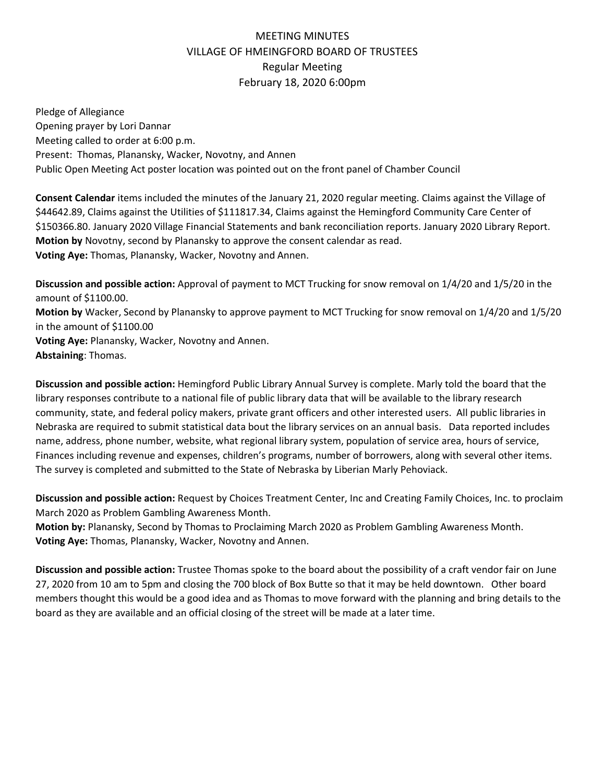## MEETING MINUTES VILLAGE OF HMEINGFORD BOARD OF TRUSTEES Regular Meeting February 18, 2020 6:00pm

Pledge of Allegiance Opening prayer by Lori Dannar Meeting called to order at 6:00 p.m. Present: Thomas, Planansky, Wacker, Novotny, and Annen Public Open Meeting Act poster location was pointed out on the front panel of Chamber Council

**Consent Calendar** items included the minutes of the January 21, 2020 regular meeting. Claims against the Village of \$44642.89, Claims against the Utilities of \$111817.34, Claims against the Hemingford Community Care Center of \$150366.80. January 2020 Village Financial Statements and bank reconciliation reports. January 2020 Library Report. **Motion by** Novotny, second by Planansky to approve the consent calendar as read. **Voting Aye:** Thomas, Planansky, Wacker, Novotny and Annen.

**Discussion and possible action:** Approval of payment to MCT Trucking for snow removal on 1/4/20 and 1/5/20 in the amount of \$1100.00. **Motion by** Wacker, Second by Planansky to approve payment to MCT Trucking for snow removal on 1/4/20 and 1/5/20 in the amount of \$1100.00 **Voting Aye:** Planansky, Wacker, Novotny and Annen. **Abstaining**: Thomas.

**Discussion and possible action:** Hemingford Public Library Annual Survey is complete. Marly told the board that the library responses contribute to a national file of public library data that will be available to the library research community, state, and federal policy makers, private grant officers and other interested users. All public libraries in Nebraska are required to submit statistical data bout the library services on an annual basis. Data reported includes name, address, phone number, website, what regional library system, population of service area, hours of service, Finances including revenue and expenses, children's programs, number of borrowers, along with several other items. The survey is completed and submitted to the State of Nebraska by Liberian Marly Pehoviack.

**Discussion and possible action:** Request by Choices Treatment Center, Inc and Creating Family Choices, Inc. to proclaim March 2020 as Problem Gambling Awareness Month.

**Motion by:** Planansky, Second by Thomas to Proclaiming March 2020 as Problem Gambling Awareness Month. **Voting Aye:** Thomas, Planansky, Wacker, Novotny and Annen.

**Discussion and possible action:** Trustee Thomas spoke to the board about the possibility of a craft vendor fair on June 27, 2020 from 10 am to 5pm and closing the 700 block of Box Butte so that it may be held downtown. Other board members thought this would be a good idea and as Thomas to move forward with the planning and bring details to the board as they are available and an official closing of the street will be made at a later time.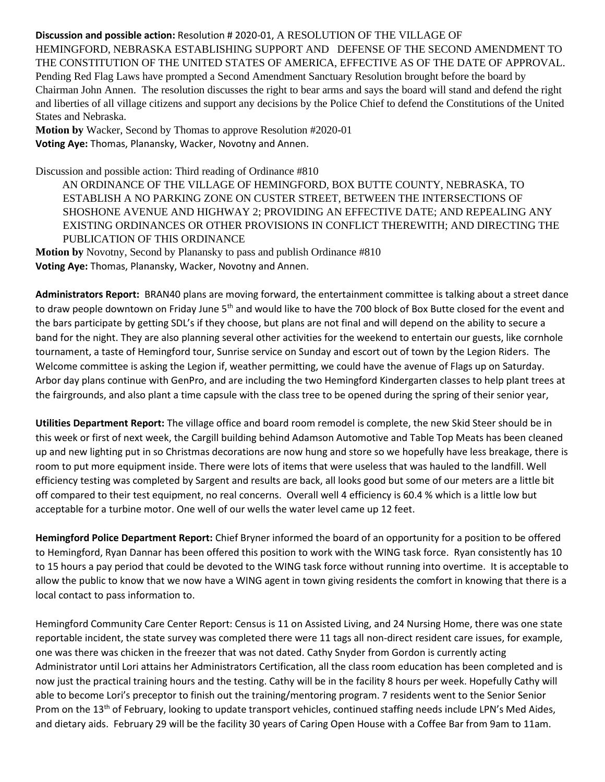## **Discussion and possible action:** Resolution # 2020-01, A RESOLUTION OF THE VILLAGE OF

HEMINGFORD, NEBRASKA ESTABLISHING SUPPORT AND DEFENSE OF THE SECOND AMENDMENT TO THE CONSTITUTION OF THE UNITED STATES OF AMERICA, EFFECTIVE AS OF THE DATE OF APPROVAL. Pending Red Flag Laws have prompted a Second Amendment Sanctuary Resolution brought before the board by Chairman John Annen. The resolution discusses the right to bear arms and says the board will stand and defend the right and liberties of all village citizens and support any decisions by the Police Chief to defend the Constitutions of the United States and Nebraska.

**Motion by** Wacker, Second by Thomas to approve Resolution #2020-01 **Voting Aye:** Thomas, Planansky, Wacker, Novotny and Annen.

Discussion and possible action: Third reading of Ordinance #810

AN ORDINANCE OF THE VILLAGE OF HEMINGFORD, BOX BUTTE COUNTY, NEBRASKA, TO ESTABLISH A NO PARKING ZONE ON CUSTER STREET, BETWEEN THE INTERSECTIONS OF SHOSHONE AVENUE AND HIGHWAY 2; PROVIDING AN EFFECTIVE DATE; AND REPEALING ANY EXISTING ORDINANCES OR OTHER PROVISIONS IN CONFLICT THEREWITH; AND DIRECTING THE PUBLICATION OF THIS ORDINANCE

**Motion by** Novotny, Second by Planansky to pass and publish Ordinance #810 **Voting Aye:** Thomas, Planansky, Wacker, Novotny and Annen.

**Administrators Report:** BRAN40 plans are moving forward, the entertainment committee is talking about a street dance to draw people downtown on Friday June 5<sup>th</sup> and would like to have the 700 block of Box Butte closed for the event and the bars participate by getting SDL's if they choose, but plans are not final and will depend on the ability to secure a band for the night. They are also planning several other activities for the weekend to entertain our guests, like cornhole tournament, a taste of Hemingford tour, Sunrise service on Sunday and escort out of town by the Legion Riders. The Welcome committee is asking the Legion if, weather permitting, we could have the avenue of Flags up on Saturday. Arbor day plans continue with GenPro, and are including the two Hemingford Kindergarten classes to help plant trees at the fairgrounds, and also plant a time capsule with the class tree to be opened during the spring of their senior year,

**Utilities Department Report:** The village office and board room remodel is complete, the new Skid Steer should be in this week or first of next week, the Cargill building behind Adamson Automotive and Table Top Meats has been cleaned up and new lighting put in so Christmas decorations are now hung and store so we hopefully have less breakage, there is room to put more equipment inside. There were lots of items that were useless that was hauled to the landfill. Well efficiency testing was completed by Sargent and results are back, all looks good but some of our meters are a little bit off compared to their test equipment, no real concerns. Overall well 4 efficiency is 60.4 % which is a little low but acceptable for a turbine motor. One well of our wells the water level came up 12 feet.

**Hemingford Police Department Report:** Chief Bryner informed the board of an opportunity for a position to be offered to Hemingford, Ryan Dannar has been offered this position to work with the WING task force. Ryan consistently has 10 to 15 hours a pay period that could be devoted to the WING task force without running into overtime. It is acceptable to allow the public to know that we now have a WING agent in town giving residents the comfort in knowing that there is a local contact to pass information to.

Hemingford Community Care Center Report: Census is 11 on Assisted Living, and 24 Nursing Home, there was one state reportable incident, the state survey was completed there were 11 tags all non-direct resident care issues, for example, one was there was chicken in the freezer that was not dated. Cathy Snyder from Gordon is currently acting Administrator until Lori attains her Administrators Certification, all the class room education has been completed and is now just the practical training hours and the testing. Cathy will be in the facility 8 hours per week. Hopefully Cathy will able to become Lori's preceptor to finish out the training/mentoring program. 7 residents went to the Senior Senior Prom on the 13<sup>th</sup> of February, looking to update transport vehicles, continued staffing needs include LPN's Med Aides, and dietary aids. February 29 will be the facility 30 years of Caring Open House with a Coffee Bar from 9am to 11am.